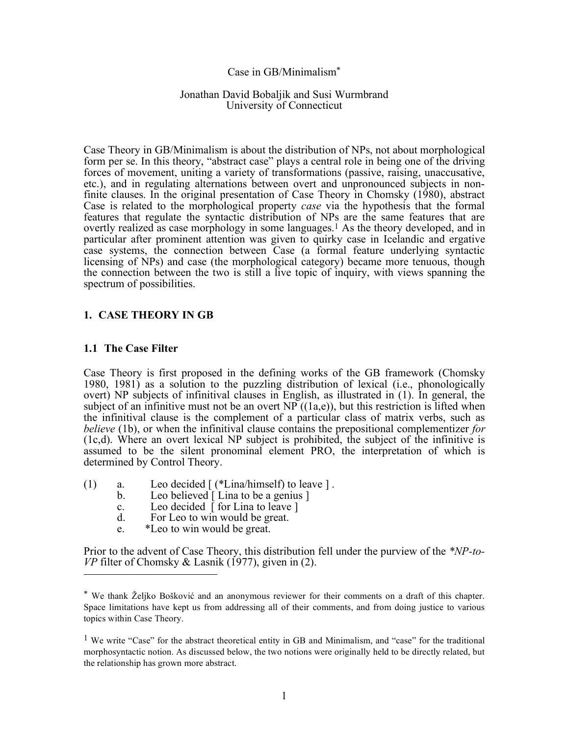#### Case in GB/Minimalism\*

#### Jonathan David Bobaljik and Susi Wurmbrand University of Connecticut

Case Theory in GB/Minimalism is about the distribution of NPs, not about morphological form per se. In this theory, "abstract case" plays a central role in being one of the driving forces of movement, uniting a variety of transformations (passive, raising, unaccusative, etc.), and in regulating alternations between overt and unpronounced subjects in nonfinite clauses. In the original presentation of Case Theory in Chomsky (1980), abstract Case is related to the morphological property *case* via the hypothesis that the formal features that regulate the syntactic distribution of NPs are the same features that are overtly realized as case morphology in some languages. 1 As the theory developed, and in particular after prominent attention was given to quirky case in Icelandic and ergative case systems, the connection between Case (a formal feature underlying syntactic licensing of NPs) and case (the morphological category) became more tenuous, though the connection between the two is still a live topic of inquiry, with views spanning the spectrum of possibilities.

# **1. CASE THEORY IN GB**

#### **1.1 The Case Filter**

Case Theory is first proposed in the defining works of the GB framework (Chomsky 1980, 1981) as a solution to the puzzling distribution of lexical (i.e., phonologically overt) NP subjects of infinitival clauses in English, as illustrated in (1). In general, the subject of an infinitive must not be an overt NP  $((1a,e))$ , but this restriction is lifted when the infinitival clause is the complement of a particular class of matrix verbs, such as *believe* (1b), or when the infinitival clause contains the prepositional complementizer *for* (1c,d). Where an overt lexical NP subject is prohibited, the subject of the infinitive is assumed to be the silent pronominal element PRO, the interpretation of which is determined by Control Theory.

- (1) a. Leo decided [ (\*Lina/himself) to leave ] .
	- b. Leo believed [ Lina to be a genius ]
	- c. Leo decided  $\lceil$  for Lina to leave  $\rceil$
	- d. For Leo to win would be great.
	- e. \*Leo to win would be great.

Prior to the advent of Case Theory, this distribution fell under the purview of the *\*NP-to-VP* filter of Chomsky & Lasnik (1977), given in (2).  $\overline{a}$ 

<sup>\*</sup> We thank Željko Bošković and an anonymous reviewer for their comments on a draft of this chapter. Space limitations have kept us from addressing all of their comments, and from doing justice to various topics within Case Theory.

<sup>&</sup>lt;sup>1</sup> We write "Case" for the abstract theoretical entity in GB and Minimalism, and "case" for the traditional morphosyntactic notion. As discussed below, the two notions were originally held to be directly related, but the relationship has grown more abstract.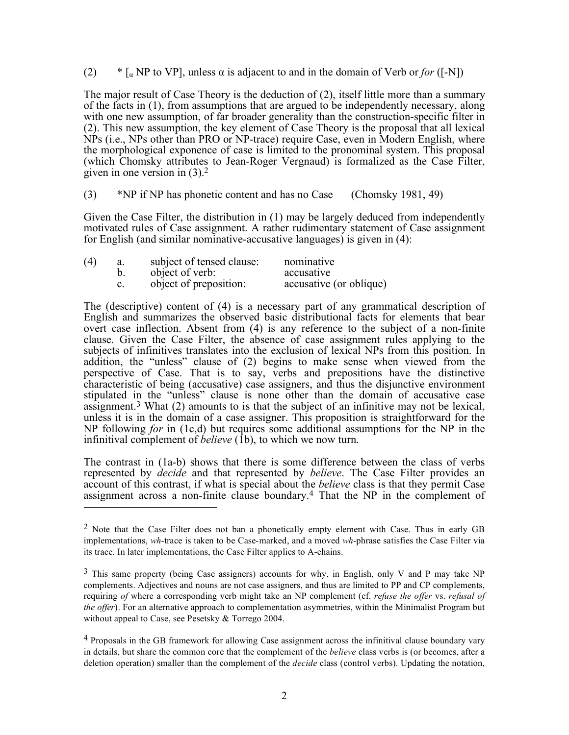(2)  $*$  [<sub>α</sub> NP to VP], unless  $\alpha$  is adjacent to and in the domain of Verb or *for* ([-N])

The major result of Case Theory is the deduction of (2), itself little more than a summary of the facts in (1), from assumptions that are argued to be independently necessary, along with one new assumption, of far broader generality than the construction-specific filter in (2). This new assumption, the key element of Case Theory is the proposal that all lexical NPs (i.e., NPs other than PRO or NP-trace) require Case, even in Modern English, where the morphological exponence of case is limited to the pronominal system. This proposal (which Chomsky attributes to Jean-Roger Vergnaud) is formalized as the Case Filter, given in one version in  $(3)$ .<sup>2</sup>

(3) \*NP if NP has phonetic content and has no Case (Chomsky 1981, 49)

Given the Case Filter, the distribution in (1) may be largely deduced from independently motivated rules of Case assignment. A rather rudimentary statement of Case assignment for English (and similar nominative-accusative languages) is given in (4):

| (4) | a. | subject of tensed clause: | nominative              |
|-----|----|---------------------------|-------------------------|
|     |    | object of verb:           | accusative              |
|     |    | object of preposition:    | accusative (or oblique) |

The (descriptive) content of (4) is a necessary part of any grammatical description of English and summarizes the observed basic distributional facts for elements that bear overt case inflection. Absent from (4) is any reference to the subject of a non-finite clause. Given the Case Filter, the absence of case assignment rules applying to the subjects of infinitives translates into the exclusion of lexical NPs from this position. In addition, the "unless" clause of (2) begins to make sense when viewed from the perspective of Case. That is to say, verbs and prepositions have the distinctive characteristic of being (accusative) case assigners, and thus the disjunctive environment stipulated in the "unless" clause is none other than the domain of accusative case assignment.3 What (2) amounts to is that the subject of an infinitive may not be lexical, unless it is in the domain of a case assigner. This proposition is straightforward for the NP following *for* in (1c,d) but requires some additional assumptions for the NP in the infinitival complement of *believe* (1b), to which we now turn.

The contrast in (1a-b) shows that there is some difference between the class of verbs represented by *decide* and that represented by *believe*. The Case Filter provides an account of this contrast, if what is special about the *believe* class is that they permit Case assignment across a non-finite clause boundary.4 That the NP in the complement of  $\overline{a}$ 

<sup>&</sup>lt;sup>2</sup> Note that the Case Filter does not ban a phonetically empty element with Case. Thus in early GB implementations, *wh*-trace is taken to be Case-marked, and a moved *wh*-phrase satisfies the Case Filter via its trace. In later implementations, the Case Filter applies to A-chains.

<sup>3</sup> This same property (being Case assigners) accounts for why, in English, only V and P may take NP complements. Adjectives and nouns are not case assigners, and thus are limited to PP and CP complements, requiring *of* where a corresponding verb might take an NP complement (cf. *refuse the offer* vs. *refusal of the offer*). For an alternative approach to complementation asymmetries, within the Minimalist Program but without appeal to Case, see Pesetsky & Torrego 2004.

<sup>&</sup>lt;sup>4</sup> Proposals in the GB framework for allowing Case assignment across the infinitival clause boundary vary in details, but share the common core that the complement of the *believe* class verbs is (or becomes, after a deletion operation) smaller than the complement of the *decide* class (control verbs). Updating the notation,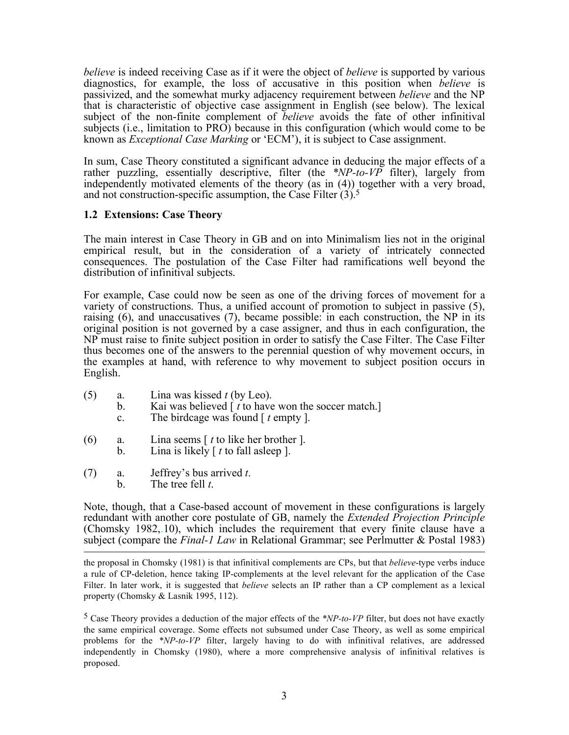*believe* is indeed receiving Case as if it were the object of *believe* is supported by various diagnostics, for example, the loss of accusative in this position when *believe* is passivized, and the somewhat murky adjacency requirement between *believe* and the NP that is characteristic of objective case assignment in English (see below). The lexical subject of the non-finite complement of *believe* avoids the fate of other infinitival subjects (i.e., limitation to PRO) because in this configuration (which would come to be known as *Exceptional Case Marking* or 'ECM'), it is subject to Case assignment.

In sum, Case Theory constituted a significant advance in deducing the major effects of a rather puzzling, essentially descriptive, filter (the *\*NP-to-VP* filter), largely from independently motivated elements of the theory (as in (4)) together with a very broad, and not construction-specific assumption, the Case Filter  $(3)$ .

# **1.2 Extensions: Case Theory**

The main interest in Case Theory in GB and on into Minimalism lies not in the original empirical result, but in the consideration of a variety of intricately connected consequences. The postulation of the Case Filter had ramifications well beyond the distribution of infinitival subjects.

For example, Case could now be seen as one of the driving forces of movement for a variety of constructions. Thus, a unified account of promotion to subject in passive (5), raising  $(6)$ , and unaccusatives  $(7)$ , became possible: in each construction, the NP in its original position is not governed by a case assigner, and thus in each configuration, the NP must raise to finite subject position in order to satisfy the Case Filter. The Case Filter thus becomes one of the answers to the perennial question of why movement occurs, in the examples at hand, with reference to why movement to subject position occurs in English.

- (5) a. Lina was kissed *t* (by Leo).
	- b. Kai was believed [ *t* to have won the soccer match.]
	- c. The birdcage was found [ *t* empty ].
- (6) a. Lina seems [ *t* to like her brother ].
	- b. Lina is likely [ *t* to fall asleep ].
- (7) a. Jeffrey's bus arrived *t*.<br>b. The tree fell *t*.
	- The tree fell *t*.

Note, though, that a Case-based account of movement in these configurations is largely redundant with another core postulate of GB, namely the *Extended Projection Principle* (Chomsky 1982,.10), which includes the requirement that every finite clause have a subject (compare the *Final-1 Law* in Relational Grammar; see Perlmutter & Postal 1983)  $\overline{a}$ 

the proposal in Chomsky (1981) is that infinitival complements are CPs, but that *believe*-type verbs induce a rule of CP-deletion, hence taking IP-complements at the level relevant for the application of the Case Filter. In later work, it is suggested that *believe* selects an IP rather than a CP complement as a lexical property (Chomsky & Lasnik 1995, 112).

5 Case Theory provides a deduction of the major effects of the *\*NP-to-VP* filter, but does not have exactly the same empirical coverage. Some effects not subsumed under Case Theory, as well as some empirical problems for the *\*NP-to-VP* filter, largely having to do with infinitival relatives, are addressed independently in Chomsky (1980), where a more comprehensive analysis of infinitival relatives is proposed.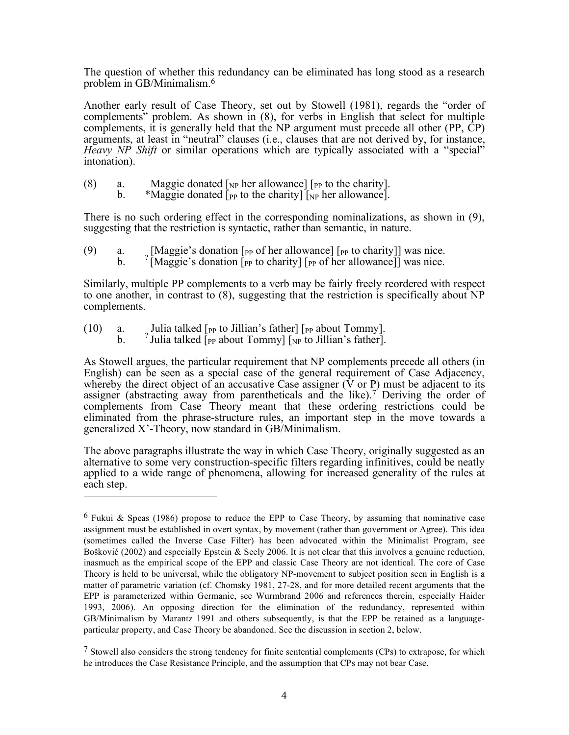The question of whether this redundancy can be eliminated has long stood as a research problem in GB/Minimalism. 6

Another early result of Case Theory, set out by Stowell (1981), regards the "order of complements" problem. As shown in (8), for verbs in English that select for multiple complements, it is generally held that the NP argument must precede all other (PP, CP) arguments, at least in "neutral" clauses (i.e., clauses that are not derived by, for instance, *Heavy NP Shift* or similar operations which are typically associated with a "special" intonation).

- (8) a. Maggie donated  $\lceil_{NP}$  her allowance]  $\lceil_{PP}$  to the charity].
	- b. \*Maggie donated  $\bar{p}_P$  to the charity  $\bar{p}_P$  her allowance.

There is no such ordering effect in the corresponding nominalizations, as shown in (9), suggesting that the restriction is syntactic, rather than semantic, in nature.

(9) a.  $\frac{1}{2}$  [Maggie's donation [<sub>PP</sub> of her allowance] [<sub>PP</sub> to charity]] was nice. b.  $\frac{1}{2}$  [Maggie's donation [<sub>PP</sub> to charity] [<sub>PP</sub> of her allowance]] was nice.

Similarly, multiple PP complements to a verb may be fairly freely reordered with respect to one another, in contrast to (8), suggesting that the restriction is specifically about NP complements.

- (10) a. Julia talked  $[$ <sub>PP</sub> to Jillian's father  $[$   $]$ <sub>PP</sub> about Tommy].
	- b.  $\frac{1}{2}$  Julia talked  $\left[\frac{1}{2}F\right]$  b.  $\frac{1}{2}F$  about Tommy]  $\left[\frac{1}{2}F\right]$  fo Jillian's father].

As Stowell argues, the particular requirement that NP complements precede all others (in English) can be seen as a special case of the general requirement of Case Adjacency, whereby the direct object of an accusative Case assigner ( $\dot{V}$  or P) must be adjacent to its assigner (abstracting away from parentheticals and the like).<sup>7</sup> Deriving the order of complements from Case Theory meant that these ordering restrictions could be eliminated from the phrase-structure rules, an important step in the move towards a generalized X'-Theory, now standard in GB/Minimalism.

The above paragraphs illustrate the way in which Case Theory, originally suggested as an alternative to some very construction-specific filters regarding infinitives, could be neatly applied to a wide range of phenomena, allowing for increased generality of the rules at each step.  $\overline{a}$ 

<sup>&</sup>lt;sup>6</sup> Fukui & Speas (1986) propose to reduce the EPP to Case Theory, by assuming that nominative case assignment must be established in overt syntax, by movement (rather than government or Agree). This idea (sometimes called the Inverse Case Filter) has been advocated within the Minimalist Program, see Bošković (2002) and especially Epstein & Seely 2006. It is not clear that this involves a genuine reduction, inasmuch as the empirical scope of the EPP and classic Case Theory are not identical. The core of Case Theory is held to be universal, while the obligatory NP-movement to subject position seen in English is a matter of parametric variation (cf. Chomsky 1981, 27-28, and for more detailed recent arguments that the EPP is parameterized within Germanic, see Wurmbrand 2006 and references therein, especially Haider 1993, 2006). An opposing direction for the elimination of the redundancy, represented within GB/Minimalism by Marantz 1991 and others subsequently, is that the EPP be retained as a languageparticular property, and Case Theory be abandoned. See the discussion in section 2, below.

 $7$  Stowell also considers the strong tendency for finite sentential complements (CPs) to extrapose, for which he introduces the Case Resistance Principle, and the assumption that CPs may not bear Case.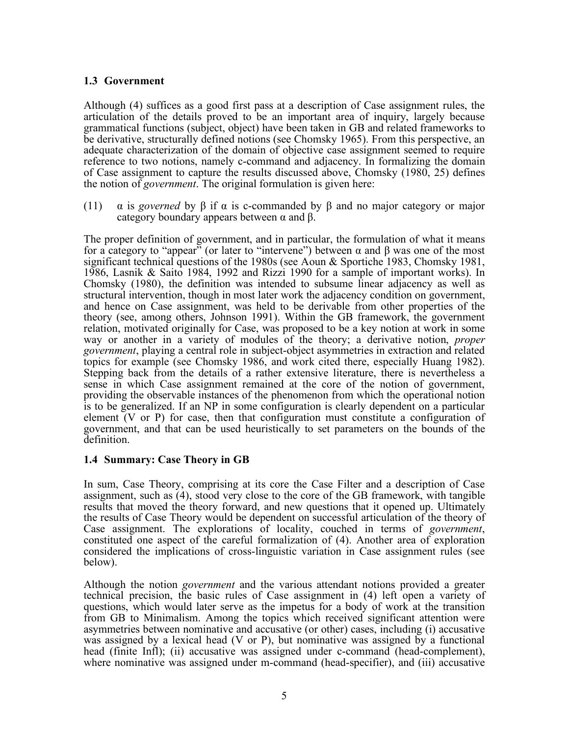# **1.3 Government**

Although (4) suffices as a good first pass at a description of Case assignment rules, the articulation of the details proved to be an important area of inquiry, largely because grammatical functions (subject, object) have been taken in GB and related frameworks to be derivative, structurally defined notions (see Chomsky 1965). From this perspective, an adequate characterization of the domain of objective case assignment seemed to require reference to two notions, namely c-command and adjacency. In formalizing the domain of Case assignment to capture the results discussed above, Chomsky (1980, 25) defines the notion of *government*. The original formulation is given here:

(11)  $\alpha$  is *governed* by  $\beta$  if  $\alpha$  is c-commanded by  $\beta$  and no major category or major category boundary appears between  $α$  and  $β$ .

The proper definition of government, and in particular, the formulation of what it means for a category to "appear" (or later to "intervene") between α and β was one of the most significant technical questions of the 1980s (see Aoun & Sportiche 1983, Chomsky 1981, 1986, Lasnik & Saito 1984, 1992 and Rizzi 1990 for a sample of important works). In Chomsky (1980), the definition was intended to subsume linear adjacency as well as structural intervention, though in most later work the adjacency condition on government, and hence on Case assignment, was held to be derivable from other properties of the theory (see, among others, Johnson 1991). Within the GB framework, the government relation, motivated originally for Case, was proposed to be a key notion at work in some way or another in a variety of modules of the theory; a derivative notion, *proper government*, playing a central role in subject-object asymmetries in extraction and related topics for example (see Chomsky 1986, and work cited there, especially Huang 1982). Stepping back from the details of a rather extensive literature, there is nevertheless a sense in which Case assignment remained at the core of the notion of government, providing the observable instances of the phenomenon from which the operational notion is to be generalized. If an NP in some configuration is clearly dependent on a particular element (V or P) for case, then that configuration must constitute a configuration of government, and that can be used heuristically to set parameters on the bounds of the definition.

# **1.4 Summary: Case Theory in GB**

In sum, Case Theory, comprising at its core the Case Filter and a description of Case assignment, such as (4), stood very close to the core of the GB framework, with tangible results that moved the theory forward, and new questions that it opened up. Ultimately the results of Case Theory would be dependent on successful articulation of the theory of Case assignment. The explorations of locality, couched in terms of *government*, constituted one aspect of the careful formalization of (4). Another area of exploration considered the implications of cross-linguistic variation in Case assignment rules (see below).

Although the notion *government* and the various attendant notions provided a greater technical precision, the basic rules of Case assignment in (4) left open a variety of questions, which would later serve as the impetus for a body of work at the transition from GB to Minimalism. Among the topics which received significant attention were asymmetries between nominative and accusative (or other) cases, including (i) accusative was assigned by a lexical head (V or P), but nominative was assigned by a functional head (finite Infl); (ii) accusative was assigned under c-command (head-complement), where nominative was assigned under m-command (head-specifier), and (iii) accusative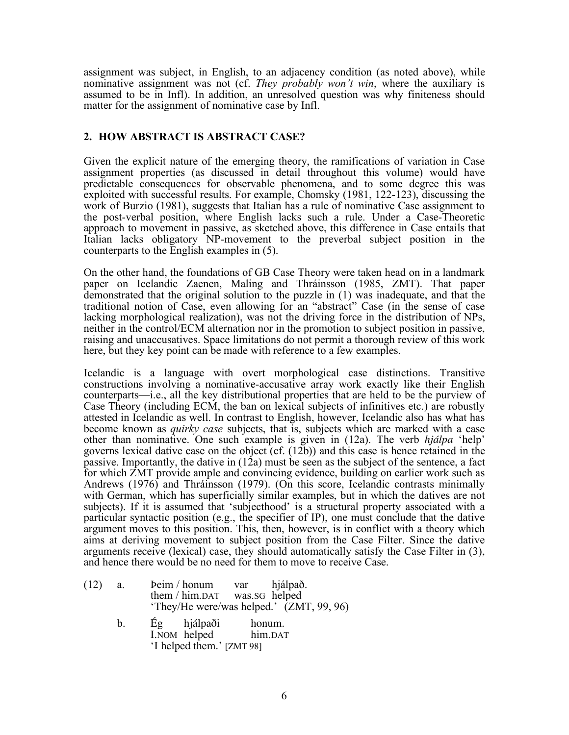assignment was subject, in English, to an adjacency condition (as noted above), while nominative assignment was not (cf. *They probably won't win*, where the auxiliary is assumed to be in Infl). In addition, an unresolved question was why finiteness should matter for the assignment of nominative case by Infl.

# **2. HOW ABSTRACT IS ABSTRACT CASE?**

Given the explicit nature of the emerging theory, the ramifications of variation in Case assignment properties (as discussed in detail throughout this volume) would have predictable consequences for observable phenomena, and to some degree this was exploited with successful results. For example, Chomsky (1981, 122-123), discussing the work of Burzio (1981), suggests that Italian has a rule of nominative Case assignment to the post-verbal position, where English lacks such a rule. Under a Case-Theoretic approach to movement in passive, as sketched above, this difference in Case entails that Italian lacks obligatory NP-movement to the preverbal subject position in the counterparts to the English examples in (5).

On the other hand, the foundations of GB Case Theory were taken head on in a landmark paper on Icelandic Zaenen, Maling and Thráinsson (1985, ZMT). That paper demonstrated that the original solution to the puzzle in (1) was inadequate, and that the traditional notion of Case, even allowing for an "abstract" Case (in the sense of case lacking morphological realization), was not the driving force in the distribution of NPs, neither in the control/ECM alternation nor in the promotion to subject position in passive, raising and unaccusatives. Space limitations do not permit a thorough review of this work here, but they key point can be made with reference to a few examples.

Icelandic is a language with overt morphological case distinctions. Transitive constructions involving a nominative-accusative array work exactly like their English counterparts—i.e., all the key distributional properties that are held to be the purview of Case Theory (including ECM, the ban on lexical subjects of infinitives etc.) are robustly attested in Icelandic as well. In contrast to English, however, Icelandic also has what has become known as *quirky case* subjects, that is, subjects which are marked with a case other than nominative. One such example is given in (12a). The verb *hjálpa* 'help' governs lexical dative case on the object (cf. (12b)) and this case is hence retained in the passive. Importantly, the dative in  $(12a)$  must be seen as the subject of the sentence, a fact for which ZMT provide ample and convincing evidence, building on earlier work such as Andrews (1976) and Thráinsson (1979). (On this score, Icelandic contrasts minimally with German, which has superficially similar examples, but in which the datives are not subjects). If it is assumed that 'subjecthood' is a structural property associated with a particular syntactic position (e.g., the specifier of IP), one must conclude that the dative argument moves to this position. This, then, however, is in conflict with a theory which aims at deriving movement to subject position from the Case Filter. Since the dative arguments receive (lexical) case, they should automatically satisfy the Case Filter in (3), and hence there would be no need for them to move to receive Case.

| (12) | a. | Peim / honum<br>them / him.DAT was.SG helped | var | hjálpað.<br>'They/He were/was helped.' (ZMT, 99, 96) |
|------|----|----------------------------------------------|-----|------------------------------------------------------|
|      | b. | Ég hjálpaði honum.                           |     |                                                      |

I.NOM helped him.DAT 'I helped them.' [ZMT 98]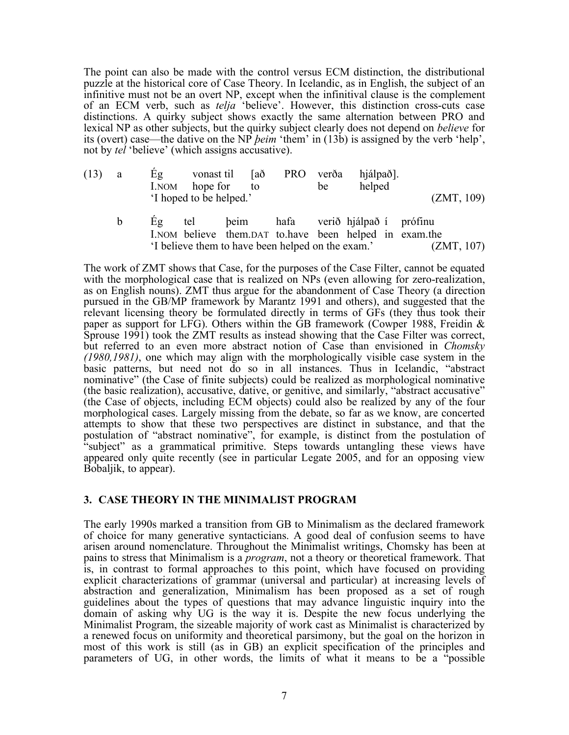The point can also be made with the control versus ECM distinction, the distributional puzzle at the historical core of Case Theory. In Icelandic, as in English, the subject of an infinitive must not be an overt NP, except when the infinitival clause is the complement of an ECM verb, such as *telja* 'believe'. However, this distinction cross-cuts case distinctions. A quirky subject shows exactly the same alternation between PRO and lexical NP as other subjects, but the quirky subject clearly does not depend on *believe* for its (overt) case—the dative on the NP *þeim* 'them' in (13b) is assigned by the verb 'help', not by *tel* 'believe' (which assigns accusative).

| $(13)$ a | Eg | vonast til [að<br>I.NOM hope for to |  | be | PRO verða hjálpað].<br>helped |            |
|----------|----|-------------------------------------|--|----|-------------------------------|------------|
|          |    | I hoped to be helped.               |  |    |                               | (ZMT, 109) |

b Ég tel þeim hafa verið hjálpað í prófinu I.NOM believe them.DAT to.have been helped in exam.the 'I believe them to have been helped on the exam.' (ZMT, 107)

The work of ZMT shows that Case, for the purposes of the Case Filter, cannot be equated with the morphological case that is realized on NPs (even allowing for zero-realization, as on English nouns). ZMT thus argue for the abandonment of Case Theory (a direction pursued in the GB/MP framework by Marantz 1991 and others), and suggested that the relevant licensing theory be formulated directly in terms of GFs (they thus took their paper as support for LFG). Others within the GB framework (Cowper 1988, Freidin & Sprouse 1991) took the ZMT results as instead showing that the Case Filter was correct, but referred to an even more abstract notion of Case than envisioned in *Chomsky (1980,1981)*, one which may align with the morphologically visible case system in the basic patterns, but need not do so in all instances. Thus in Icelandic, "abstract nominative" (the Case of finite subjects) could be realized as morphological nominative (the basic realization), accusative, dative, or genitive, and similarly, "abstract accusative" (the Case of objects, including ECM objects) could also be realized by any of the four morphological cases. Largely missing from the debate, so far as we know, are concerted attempts to show that these two perspectives are distinct in substance, and that the postulation of "abstract nominative", for example, is distinct from the postulation of "subject" as a grammatical primitive. Steps towards untangling these views have appeared only quite recently (see in particular Legate 2005, and for an opposing view Bobaljik, to appear).

# **3. CASE THEORY IN THE MINIMALIST PROGRAM**

The early 1990s marked a transition from GB to Minimalism as the declared framework of choice for many generative syntacticians. A good deal of confusion seems to have arisen around nomenclature. Throughout the Minimalist writings, Chomsky has been at pains to stress that Minimalism is a *program*, not a theory or theoretical framework. That is, in contrast to formal approaches to this point, which have focused on providing explicit characterizations of grammar (universal and particular) at increasing levels of abstraction and generalization, Minimalism has been proposed as a set of rough guidelines about the types of questions that may advance linguistic inquiry into the domain of asking why UG is the way it is. Despite the new focus underlying the Minimalist Program, the sizeable majority of work cast as Minimalist is characterized by a renewed focus on uniformity and theoretical parsimony, but the goal on the horizon in most of this work is still (as in GB) an explicit specification of the principles and parameters of UG, in other words, the limits of what it means to be a "possible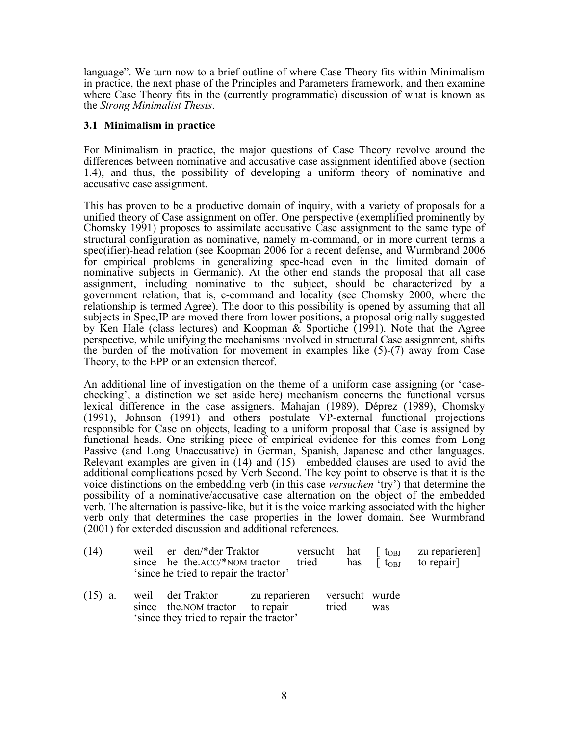language". We turn now to a brief outline of where Case Theory fits within Minimalism in practice, the next phase of the Principles and Parameters framework, and then examine where Case Theory fits in the (currently programmatic) discussion of what is known as the *Strong Minimalist Thesis*.

# **3.1 Minimalism in practice**

For Minimalism in practice, the major questions of Case Theory revolve around the differences between nominative and accusative case assignment identified above (section 1.4), and thus, the possibility of developing a uniform theory of nominative and accusative case assignment.

This has proven to be a productive domain of inquiry, with a variety of proposals for a unified theory of Case assignment on offer. One perspective (exemplified prominently by Chomsky 1991) proposes to assimilate accusative Case assignment to the same type of structural configuration as nominative, namely m-command, or in more current terms a spec(ifier)-head relation (see Koopman 2006 for a recent defense, and Wurmbrand 2006 for empirical problems in generalizing spec-head even in the limited domain of nominative subjects in Germanic). At the other end stands the proposal that all case assignment, including nominative to the subject, should be characterized by a government relation, that is, c-command and locality (see Chomsky 2000, where the relationship is termed Agree). The door to this possibility is opened by assuming that all subjects in Spec,IP are moved there from lower positions, a proposal originally suggested by Ken Hale (class lectures) and Koopman & Sportiche (1991). Note that the Agree perspective, while unifying the mechanisms involved in structural Case assignment, shifts the burden of the motivation for movement in examples like (5)-(7) away from Case Theory, to the EPP or an extension thereof.

An additional line of investigation on the theme of a uniform case assigning (or 'casechecking', a distinction we set aside here) mechanism concerns the functional versus lexical difference in the case assigners. Mahajan (1989), Déprez (1989), Chomsky (1991), Johnson (1991) and others postulate VP-external functional projections responsible for Case on objects, leading to a uniform proposal that Case is assigned by functional heads. One striking piece of empirical evidence for this comes from Long Passive (and Long Unaccusative) in German, Spanish, Japanese and other languages. Relevant examples are given in (14) and (15)—embedded clauses are used to avid the additional complications posed by Verb Second. The key point to observe is that it is the voice distinctions on the embedding verb (in this case *versuchen* 'try') that determine the possibility of a nominative/accusative case alternation on the object of the embedded verb. The alternation is passive-like, but it is the voice marking associated with the higher verb only that determines the case properties in the lower domain. See Wurmbrand (2001) for extended discussion and additional references.

| (14)      | weil er den/*der Traktor<br>since he the $ACC$ <sup>*</sup> NOM tractor tried<br>'since he tried to repair the tractor' |                            | versucht hat | has                     | $\vert$ t <sub>OBJ</sub><br>$\lceil$ t <sub>OBJ</sub> | zu reparieren<br>to repair] |
|-----------|-------------------------------------------------------------------------------------------------------------------------|----------------------------|--------------|-------------------------|-------------------------------------------------------|-----------------------------|
| $(15)$ a. | weil der Traktor<br>since the NOM tractor<br>'since they tried to repair the tractor'                                   | zu reparieren<br>to repair |              | versucht wurde<br>tried | was                                                   |                             |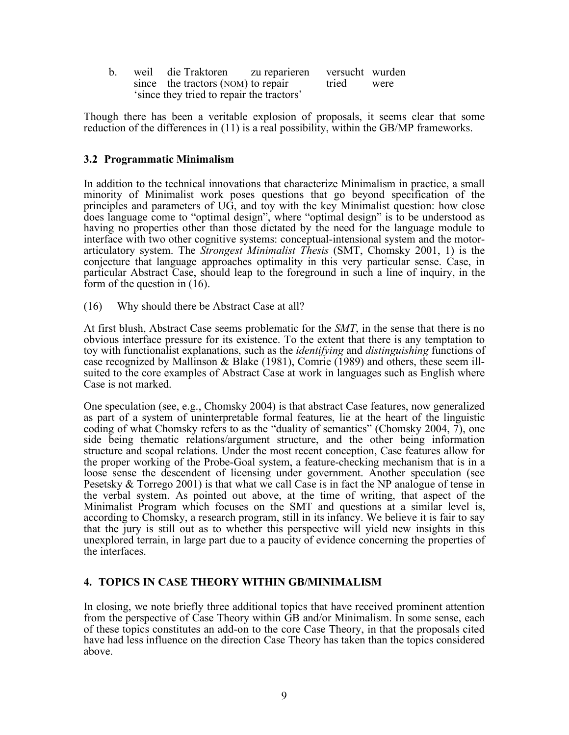| $\mathbf{b}$ . | weil die Traktoren zu reparieren versucht wurden |  |       |      |
|----------------|--------------------------------------------------|--|-------|------|
|                | since the tractors (NOM) to repair               |  | tried | were |
|                | 'since they tried to repair the tractors'        |  |       |      |

Though there has been a veritable explosion of proposals, it seems clear that some reduction of the differences in (11) is a real possibility, within the GB/MP frameworks.

#### **3.2 Programmatic Minimalism**

In addition to the technical innovations that characterize Minimalism in practice, a small minority of Minimalist work poses questions that go beyond specification of the principles and parameters of UG, and toy with the key Minimalist question: how close does language come to "optimal design", where "optimal design" is to be understood as having no properties other than those dictated by the need for the language module to interface with two other cognitive systems: conceptual-intensional system and the motorarticulatory system. The *Strongest Minimalist Thesis* (SMT, Chomsky 2001, 1) is the conjecture that language approaches optimality in this very particular sense. Case, in particular Abstract Case, should leap to the foreground in such a line of inquiry, in the form of the question in (16).

(16) Why should there be Abstract Case at all?

At first blush, Abstract Case seems problematic for the *SMT*, in the sense that there is no obvious interface pressure for its existence. To the extent that there is any temptation to toy with functionalist explanations, such as the *identifying* and *distinguishing* functions of case recognized by Mallinson & Blake (1981), Comrie (1989) and others, these seem illsuited to the core examples of Abstract Case at work in languages such as English where Case is not marked.

One speculation (see, e.g., Chomsky 2004) is that abstract Case features, now generalized as part of a system of uninterpretable formal features, lie at the heart of the linguistic coding of what Chomsky refers to as the "duality of semantics" (Chomsky 2004, 7), one side being thematic relations/argument structure, and the other being information structure and scopal relations. Under the most recent conception, Case features allow for the proper working of the Probe-Goal system, a feature-checking mechanism that is in a loose sense the descendent of licensing under government. Another speculation (see Pesetsky  $\&$  Torrego 2001) is that what we call Case is in fact the NP analogue of tense in the verbal system. As pointed out above, at the time of writing, that aspect of the Minimalist Program which focuses on the SMT and questions at a similar level is, according to Chomsky, a research program, still in its infancy. We believe it is fair to say that the jury is still out as to whether this perspective will yield new insights in this unexplored terrain, in large part due to a paucity of evidence concerning the properties of the interfaces.

#### **4. TOPICS IN CASE THEORY WITHIN GB/MINIMALISM**

In closing, we note briefly three additional topics that have received prominent attention from the perspective of Case Theory within GB and/or Minimalism. In some sense, each of these topics constitutes an add-on to the core Case Theory, in that the proposals cited have had less influence on the direction Case Theory has taken than the topics considered above.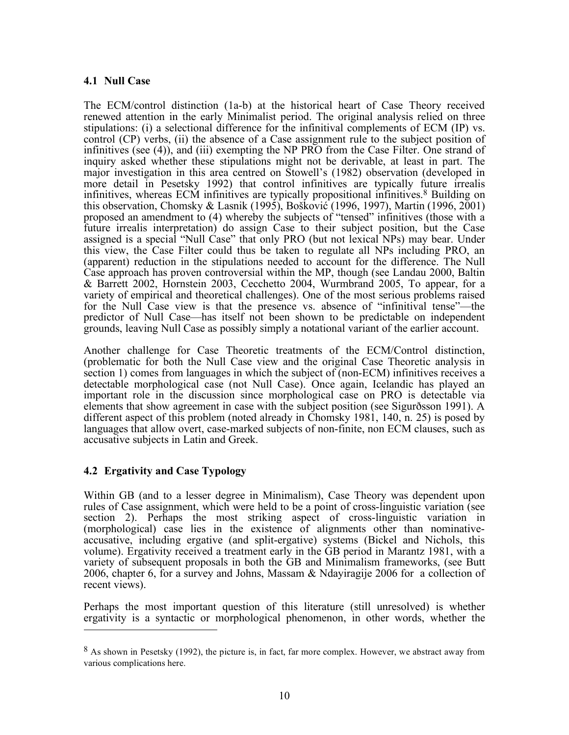# **4.1 Null Case**

The ECM/control distinction (1a-b) at the historical heart of Case Theory received renewed attention in the early Minimalist period. The original analysis relied on three stipulations: (i) a selectional difference for the infinitival complements of ECM (IP) vs. control (CP) verbs, (ii) the absence of a Case assignment rule to the subject position of infinitives (see (4)), and (iii) exempting the NP PRO from the Case Filter. One strand of inquiry asked whether these stipulations might not be derivable, at least in part. The major investigation in this area centred on Stowell's (1982) observation (developed in more detail in Pesetsky 1992) that control infinitives are typically future irrealis infinitives, whereas ECM infinitives are typically propositional infinitives. 8 Building on this observation, Chomsky & Lasnik (1995), Bošković (1996, 1997), Martin (1996, 2001) proposed an amendment to (4) whereby the subjects of "tensed" infinitives (those with a future irrealis interpretation) do assign Case to their subject position, but the Case assigned is a special "Null Case" that only PRO (but not lexical NPs) may bear. Under this view, the Case Filter could thus be taken to regulate all NPs including PRO, an (apparent) reduction in the stipulations needed to account for the difference. The Null Case approach has proven controversial within the MP, though (see Landau 2000, Baltin & Barrett 2002, Hornstein 2003, Cecchetto 2004, Wurmbrand 2005, To appear, for a variety of empirical and theoretical challenges). One of the most serious problems raised for the Null Case view is that the presence vs. absence of "infinitival tense"—the predictor of Null Case—has itself not been shown to be predictable on independent grounds, leaving Null Case as possibly simply a notational variant of the earlier account.

Another challenge for Case Theoretic treatments of the ECM/Control distinction, (problematic for both the Null Case view and the original Case Theoretic analysis in section 1) comes from languages in which the subject of (non-ECM) infinitives receives a detectable morphological case (not Null Case). Once again, Icelandic has played an important role in the discussion since morphological case on PRO is detectable via elements that show agreement in case with the subject position (see Sigurðsson 1991). A different aspect of this problem (noted already in Chomsky 1981, 140, n. 25) is posed by languages that allow overt, case-marked subjects of non-finite, non ECM clauses, such as accusative subjects in Latin and Greek.

# **4.2 Ergativity and Case Typology**

Within GB (and to a lesser degree in Minimalism), Case Theory was dependent upon rules of Case assignment, which were held to be a point of cross-linguistic variation (see section 2). Perhaps the most striking aspect of cross-linguistic variation in (morphological) case lies in the existence of alignments other than nominativeaccusative, including ergative (and split-ergative) systems (Bickel and Nichols, this volume). Ergativity received a treatment early in the GB period in Marantz 1981, with a variety of subsequent proposals in both the GB and Minimalism frameworks, (see Butt 2006, chapter 6, for a survey and Johns, Massam & Ndayiragije 2006 for a collection of recent views).

Perhaps the most important question of this literature (still unresolved) is whether ergativity is a syntactic or morphological phenomenon, in other words, whether the  $\overline{a}$ 

<sup>&</sup>lt;sup>8</sup> As shown in Pesetsky (1992), the picture is, in fact, far more complex. However, we abstract away from various complications here.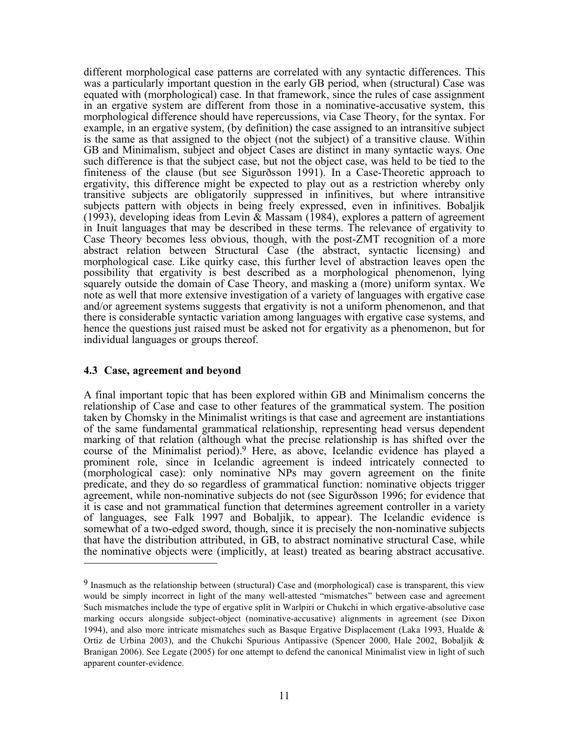different morphological case patterns are correlated with any syntactic differences. This was a particularly important question in the early GB period, when (structural) Case was equated with (morphological) case. In that framework, since the rules of case assignment in an ergative system are different from those in a nominative-accusative system, this morphological difference should have repercussions, via Case Theory, for the syntax. For example, in an ergative system, (by definition) the case assigned to an intransitive subject is the same as that assigned to the object (not the subject) of a transitive clause. Within GB and Minimalism, subject and object Cases are distinct in many syntactic ways. One such difference is that the subject case, but not the object case, was held to be tied to the finiteness of the clause (but see Sigurðsson 1991). In a Case-Theoretic approach to ergativity, this difference might be expected to play out as a restriction whereby only transitive subjects are obligatorily suppressed in infinitives, but where intransitive subjects pattern with objects in being freely expressed, even in infinitives. Bobaljik (1993), developing ideas from Levin  $\&$  Massam (1984), explores a pattern of agreement in Inuit languages that may be described in these terms. The relevance of ergativity to Case Theory becomes less obvious, though, with the post-ZMT recognition of a more abstract relation between Structural Case (the abstract, syntactic licensing) and morphological case. Like quirky case, this further level of abstraction leaves open the possibility that ergativity is best described as a morphological phenomenon, lying squarely outside the domain of Case Theory, and masking a (more) uniform syntax. We note as well that more extensive investigation of a variety of languages with ergative case and/or agreement systems suggests that ergativity is not a uniform phenomenon, and that there is considerable syntactic variation among languages with ergative case systems, and hence the questions just raised must be asked not for ergativity as a phenomenon, but for individual languages or groups thereof.

#### **4.3 Case, agreement and beyond**

A final important topic that has been explored within GB and Minimalism concerns the relationship of Case and case to other features of the grammatical system. The position taken by Chomsky in the Minimalist writings is that case and agreement are instantiations of the same fundamental grammatical relationship, representing head versus dependent marking of that relation (although what the precise relationship is has shifted over the course of the Minimalist period). 9 Here, as above, Icelandic evidence has played a prominent role, since in Icelandic agreement is indeed intricately connected to (morphological case): only nominative NPs may govern agreement on the finite predicate, and they do so regardless of grammatical function: nominative objects trigger agreement, while non-nominative subjects do not (see Sigurðsson 1996; for evidence that it is case and not grammatical function that determines agreement controller in a variety of languages, see Falk 1997 and Bobaljik, to appear). The Icelandic evidence is somewhat of a two-edged sword, though, since it is precisely the non-nominative subjects that have the distribution attributed, in GB, to abstract nominative structural Case, while the nominative objects were (implicitly, at least) treated as bearing abstract accusative.  $\overline{a}$ 

<sup>9</sup> Inasmuch as the relationship between (structural) Case and (morphological) case is transparent, this view would be simply incorrect in light of the many well-attested "mismatches" between case and agreement Such mismatches include the type of ergative split in Warlpiri or Chukchi in which ergative-absolutive case marking occurs alongside subject-object (nominative-accusative) alignments in agreement (see Dixon 1994), and also more intricate mismatches such as Basque Ergative Displacement (Laka 1993, Hualde & Ortiz de Urbina 2003), and the Chukchi Spurious Antipassive (Spencer 2000, Hale 2002, Bobaljik & Branigan 2006). See Legate (2005) for one attempt to defend the canonical Minimalist view in light of such apparent counter-evidence.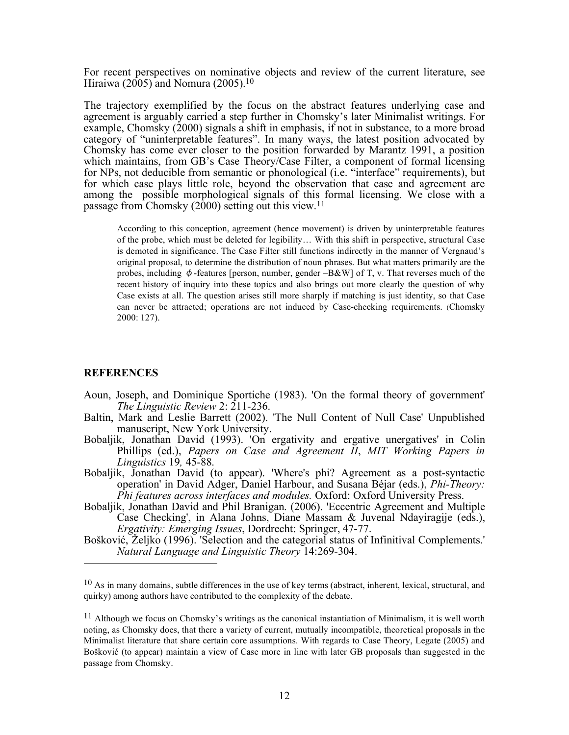For recent perspectives on nominative objects and review of the current literature, see Hiraiwa (2005) and Nomura (2005). 10

The trajectory exemplified by the focus on the abstract features underlying case and agreement is arguably carried a step further in Chomsky's later Minimalist writings. For example, Chomsky  $(2000)$  signals a shift in emphasis, if not in substance, to a more broad category of "uninterpretable features". In many ways, the latest position advocated by Chomsky has come ever closer to the position forwarded by Marantz 1991, a position which maintains, from GB's Case Theory/Case Filter, a component of formal licensing for NPs, not deducible from semantic or phonological (i.e. "interface" requirements), but for which case plays little role, beyond the observation that case and agreement are among the possible morphological signals of this formal licensing. We close with a passage from Chomsky (2000) setting out this view.<sup>11</sup>

According to this conception, agreement (hence movement) is driven by uninterpretable features of the probe, which must be deleted for legibility… With this shift in perspective, structural Case is demoted in significance. The Case Filter still functions indirectly in the manner of Vergnaud's original proposal, to determine the distribution of noun phrases. But what matters primarily are the probes, including  $\phi$ -features [person, number, gender –B&W] of T, v. That reverses much of the recent history of inquiry into these topics and also brings out more clearly the question of why Case exists at all. The question arises still more sharply if matching is just identity, so that Case can never be attracted; operations are not induced by Case-checking requirements. (Chomsky 2000: 127).

#### **REFERENCES**

- Aoun, Joseph, and Dominique Sportiche (1983). 'On the formal theory of government' *The Linguistic Review* 2: 211-236.
- Baltin, Mark and Leslie Barrett (2002). 'The Null Content of Null Case' Unpublished manuscript, New York University.
- Bobaljik, Jonathan David (1993). 'On ergativity and ergative unergatives' in Colin Phillips (ed.), *Papers on Case and Agreement II*, *MIT Working Papers in Linguistics* 19*,* 45-88.
- Bobaljik, Jonathan David (to appear). 'Where's phi? Agreement as a post-syntactic operation' in David Adger, Daniel Harbour, and Susana Béjar (eds.), *Phi-Theory: Phi features across interfaces and modules.* Oxford: Oxford University Press.
- Bobaljik, Jonathan David and Phil Branigan. (2006). 'Eccentric Agreement and Multiple Case Checking', in Alana Johns, Diane Massam & Juvenal Ndayiragije (eds.), *Ergativity: Emerging Issues*, Dordrecht: Springer, 47-77.
- Bošković, Željko (1996). 'Selection and the categorial status of Infinitival Complements.' *Natural Language and Linguistic Theory* 14:269-304.  $\overline{a}$

 $10$  As in many domains, subtle differences in the use of key terms (abstract, inherent, lexical, structural, and quirky) among authors have contributed to the complexity of the debate.

 $11$  Although we focus on Chomsky's writings as the canonical instantiation of Minimalism, it is well worth noting, as Chomsky does, that there a variety of current, mutually incompatible, theoretical proposals in the Minimalist literature that share certain core assumptions. With regards to Case Theory, Legate (2005) and Bošković (to appear) maintain a view of Case more in line with later GB proposals than suggested in the passage from Chomsky.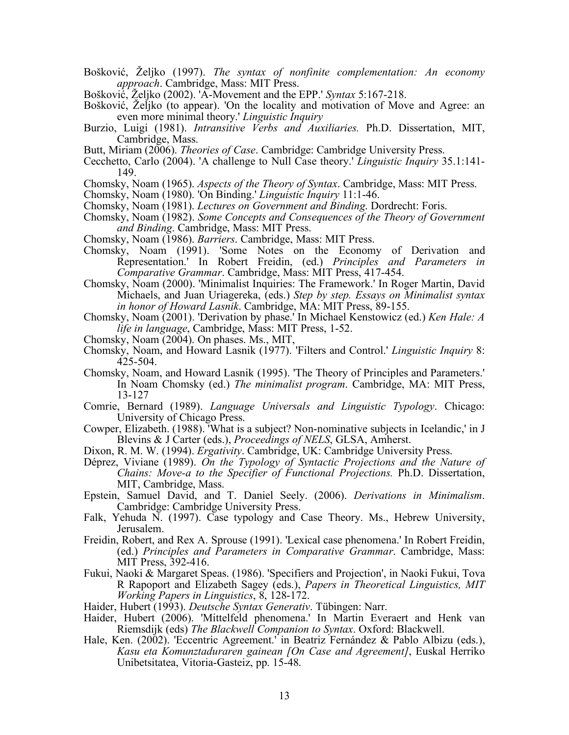- Bošković, Željko (1997). *The syntax of nonfinite complementation: An economy approach*. Cambridge, Mass: MIT Press.
- Bošković, Željko (2002). 'A-Movement and the EPP.' *Syntax* 5:167-218.
- Bošković, Željko (to appear). 'On the locality and motivation of Move and Agree: an even more minimal theory.' *Linguistic Inquiry*
- Burzio, Luigi (1981). *Intransitive Verbs and Auxiliaries.* Ph.D. Dissertation, MIT, Cambridge, Mass.
- Butt, Miriam (2006). *Theories of Case*. Cambridge: Cambridge University Press.
- Cecchetto, Carlo (2004). 'A challenge to Null Case theory.' *Linguistic Inquiry* 35.1:141- 149.
- Chomsky, Noam (1965). *Aspects of the Theory of Syntax*. Cambridge, Mass: MIT Press.
- Chomsky, Noam (1980). 'On Binding.' *Linguistic Inquiry* 11:1-46.
- Chomsky, Noam (1981). *Lectures on Government and Binding*. Dordrecht: Foris.
- Chomsky, Noam (1982). *Some Concepts and Consequences of the Theory of Government and Binding*. Cambridge, Mass: MIT Press.
- Chomsky, Noam (1986). *Barriers*. Cambridge, Mass: MIT Press.
- Chomsky, Noam (1991). 'Some Notes on the Economy of Derivation and Representation.' In Robert Freidin, (ed.) *Principles and Parameters in Comparative Grammar*. Cambridge, Mass: MIT Press, 417-454.
- Chomsky, Noam (2000). 'Minimalist Inquiries: The Framework.' In Roger Martin, David Michaels, and Juan Uriagereka, (eds.) *Step by step. Essays on Minimalist syntax in honor of Howard Lasnik*. Cambridge, MA: MIT Press, 89-155.
- Chomsky, Noam (2001). 'Derivation by phase.' In Michael Kenstowicz (ed.) *Ken Hale: A life in language*, Cambridge, Mass: MIT Press, 1-52.
- Chomsky, Noam (2004). On phases. Ms., MIT,
- Chomsky, Noam, and Howard Lasnik (1977). 'Filters and Control.' *Linguistic Inquiry* 8: 425-504.
- Chomsky, Noam, and Howard Lasnik (1995). 'The Theory of Principles and Parameters.' In Noam Chomsky (ed.) *The minimalist program*. Cambridge, MA: MIT Press, 13-127
- Comrie, Bernard (1989). *Language Universals and Linguistic Typology*. Chicago: University of Chicago Press.
- Cowper, Elizabeth. (1988). 'What is a subject? Non-nominative subjects in Icelandic,' in J Blevins & J Carter (eds.), *Proceedings of NELS*, GLSA, Amherst.
- Dixon, R. M. W. (1994). *Ergativity*. Cambridge, UK: Cambridge University Press.
- Déprez, Viviane (1989). *On the Typology of Syntactic Projections and the Nature of Chains: Move-a to the Specifier of Functional Projections.* Ph.D. Dissertation, MIT, Cambridge, Mass.
- Epstein, Samuel David, and T. Daniel Seely. (2006). *Derivations in Minimalism*. Cambridge: Cambridge University Press.
- Falk, Yehuda N. (1997). Case typology and Case Theory. Ms., Hebrew University, Jerusalem.
- Freidin, Robert, and Rex A. Sprouse (1991). 'Lexical case phenomena.' In Robert Freidin, (ed.) *Principles and Parameters in Comparative Grammar*. Cambridge, Mass: MIT Press, 392-416.
- Fukui, Naoki & Margaret Speas. (1986). 'Specifiers and Projection', in Naoki Fukui, Tova R Rapoport and Elizabeth Sagey (eds.), *Papers in Theoretical Linguistics, MIT Working Papers in Linguistics*, 8, 128-172.
- Haider, Hubert (1993). *Deutsche Syntax Generativ*. Tübingen: Narr.
- Haider, Hubert (2006). 'Mittelfeld phenomena.' In Martin Everaert and Henk van Riemsdijk (eds) *The Blackwell Companion to Syntax*. Oxford: Blackwell.
- Hale, Ken. (2002). 'Eccentric Agreement.' in Beatriz Fernández & Pablo Albizu (eds.), *Kasu eta Komunztaduraren gainean [On Case and Agreement]*, Euskal Herriko Unibetsitatea, Vitoria-Gasteiz, pp. 15-48.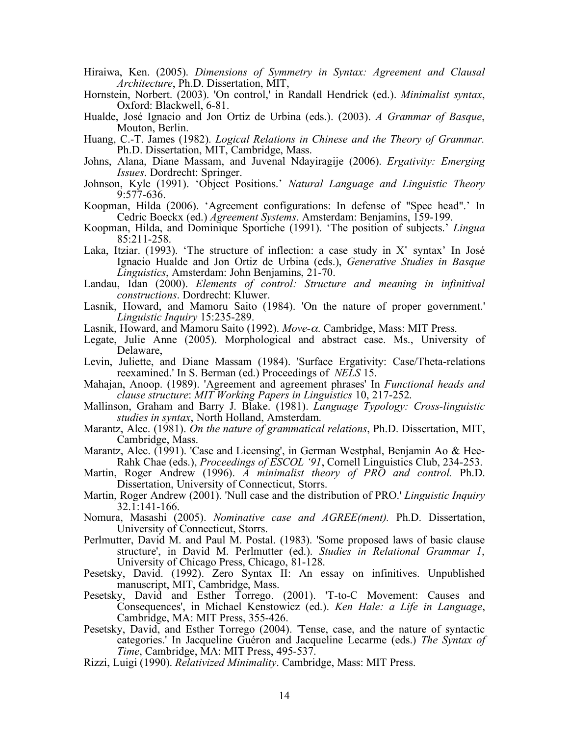- Hiraiwa, Ken. (2005). *Dimensions of Symmetry in Syntax: Agreement and Clausal Architecture*, Ph.D. Dissertation, MIT,
- Hornstein, Norbert. (2003). 'On control,' in Randall Hendrick (ed.). *Minimalist syntax*, Oxford: Blackwell, 6-81.
- Hualde, José Ignacio and Jon Ortiz de Urbina (eds.). (2003). *A Grammar of Basque*, Mouton, Berlin.
- Huang, C.-T. James (1982). *Logical Relations in Chinese and the Theory of Grammar.* Ph.D. Dissertation, MIT, Cambridge, Mass.
- Johns, Alana, Diane Massam, and Juvenal Ndayiragije (2006). *Ergativity: Emerging Issues*. Dordrecht: Springer.
- Johnson, Kyle (1991). 'Object Positions.' *Natural Language and Linguistic Theory* 9:577-636.
- Koopman, Hilda (2006). 'Agreement configurations: In defense of "Spec head".' In Cedric Boeckx (ed.) *Agreement Systems*. Amsterdam: Benjamins, 159-199.
- Koopman, Hilda, and Dominique Sportiche (1991). 'The position of subjects.' *Lingua*  85:211-258.
- Laka, Itziar. (1993). 'The structure of inflection: a case study in  $X^{\circ}$  syntax' In José Ignacio Hualde and Jon Ortiz de Urbina (eds.), *Generative Studies in Basque Linguistics*, Amsterdam: John Benjamins, 21-70.
- Landau, Idan (2000). *Elements of control: Structure and meaning in infinitival constructions*. Dordrecht: Kluwer.
- Lasnik, Howard, and Mamoru Saito (1984). 'On the nature of proper government.' *Linguistic Inquiry* 15:235-289.
- Lasnik, Howard, and Mamoru Saito (1992). *Move-*α. Cambridge, Mass: MIT Press.
- Legate, Julie Anne (2005). Morphological and abstract case. Ms., University of Delaware,
- Levin, Juliette, and Diane Massam (1984). 'Surface Ergativity: Case/Theta-relations reexamined.' In S. Berman (ed.) Proceedings of *NELS* 15.
- Mahajan, Anoop. (1989). 'Agreement and agreement phrases' In *Functional heads and clause structure*: *MIT Working Papers in Linguistics* 10, 217-252.
- Mallinson, Graham and Barry J. Blake. (1981). *Language Typology: Cross-linguistic studies in syntax*, North Holland, Amsterdam.
- Marantz, Alec. (1981). *On the nature of grammatical relations*, Ph.D. Dissertation, MIT, Cambridge, Mass.
- Marantz, Alec. (1991). 'Case and Licensing', in German Westphal, Benjamin Ao & Hee-Rahk Chae (eds.), *Proceedings of ESCOL '91*, Cornell Linguistics Club, 234-253.
- Martin, Roger Andrew (1996). *A minimalist theory of PRO and control.* Ph.D. Dissertation, University of Connecticut, Storrs.
- Martin, Roger Andrew (2001). 'Null case and the distribution of PRO.' *Linguistic Inquiry* 32.1:141-166.
- Nomura, Masashi (2005). *Nominative case and AGREE(ment).* Ph.D. Dissertation, University of Connecticut, Storrs.
- Perlmutter, David M. and Paul M. Postal. (1983). 'Some proposed laws of basic clause structure', in David M. Perlmutter (ed.). *Studies in Relational Grammar 1*, University of Chicago Press, Chicago, 81-128.
- Pesetsky, David. (1992). Zero Syntax II: An essay on infinitives. Unpublished manuscript, MIT, Cambridge, Mass.
- Pesetsky, David and Esther Torrego. (2001). 'T-to-C Movement: Causes and Consequences', in Michael Kenstowicz (ed.). *Ken Hale: a Life in Language*, Cambridge, MA: MIT Press, 355-426.
- Pesetsky, David, and Esther Torrego (2004). 'Tense, case, and the nature of syntactic categories.' In Jacqueline Guéron and Jacqueline Lecarme (eds.) *The Syntax of Time*, Cambridge, MA: MIT Press, 495-537.
- Rizzi, Luigi (1990). *Relativized Minimality*. Cambridge, Mass: MIT Press.